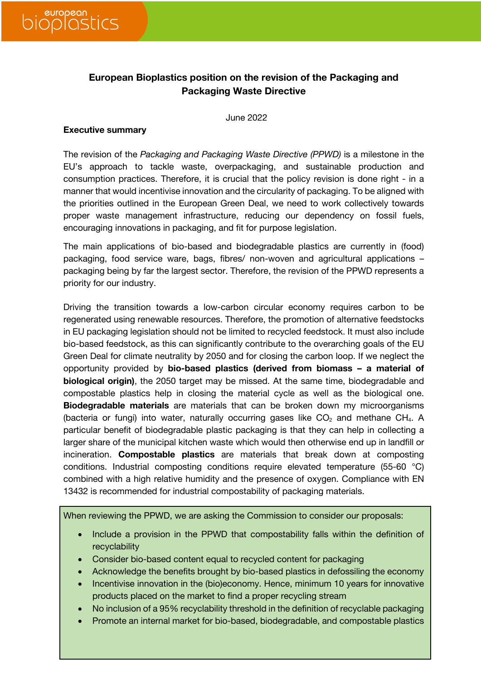

# **European Bioplastics position on the revision of the Packaging and Packaging Waste Directive**

June 2022

### **Executive summary**

The revision of the *Packaging and Packaging Waste Directive (PPWD)* is a milestone in the EU's approach to tackle waste, overpackaging, and sustainable production and consumption practices. Therefore, it is crucial that the policy revision is done right - in a manner that would incentivise innovation and the circularity of packaging. To be aligned with the priorities outlined in the European Green Deal, we need to work collectively towards proper waste management infrastructure, reducing our dependency on fossil fuels, encouraging innovations in packaging, and fit for purpose legislation.

The main applications of bio-based and biodegradable plastics are currently in (food) packaging, food service ware, bags, fibres/ non-woven and agricultural applications – packaging being by far the largest sector. Therefore, the revision of the PPWD represents a priority for our industry.

Driving the transition towards a low-carbon circular economy requires carbon to be regenerated using renewable resources. Therefore, the promotion of alternative feedstocks in EU packaging legislation should not be limited to recycled feedstock. It must also include bio-based feedstock, as this can significantly contribute to the overarching goals of the EU Green Deal for climate neutrality by 2050 and for closing the carbon loop. If we neglect the opportunity provided by **bio-based plastics (derived from biomass – a material of biological origin)**, the 2050 target may be missed. At the same time, biodegradable and compostable plastics help in closing the material cycle as well as the biological one. **Biodegradable materials** are materials that can be broken down my microorganisms (bacteria or fungi) into water, naturally occurring gases like  $CO<sub>2</sub>$  and methane CH<sub>4</sub>. A particular benefit of biodegradable plastic packaging is that they can help in collecting a larger share of the municipal kitchen waste which would then otherwise end up in landfill or incineration. **Compostable plastics** are materials that break down at composting conditions. Industrial composting conditions require elevated temperature (55-60 °C) combined with a high relative humidity and the presence of oxygen. Compliance with EN 13432 is recommended for industrial compostability of packaging materials.

When reviewing the PPWD, we are asking the Commission to consider our proposals:

- Include a provision in the PPWD that compostability falls within the definition of recyclability
- Consider bio-based content equal to recycled content for packaging
- Acknowledge the benefits brought by bio-based plastics in defossiling the economy
- Incentivise innovation in the (bio)economy. Hence, minimum 10 years for innovative products placed on the market to find a proper recycling stream
- No inclusion of a 95% recyclability threshold in the definition of recyclable packaging
- Promote an internal market for bio-based, biodegradable, and compostable plastics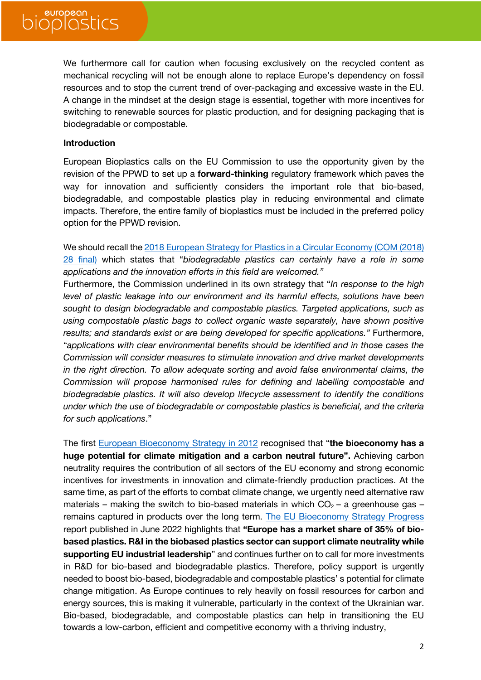We furthermore call for caution when focusing exclusively on the recycled content as mechanical recycling will not be enough alone to replace Europe's dependency on fossil resources and to stop the current trend of over-packaging and excessive waste in the EU. A change in the mindset at the design stage is essential, together with more incentives for switching to renewable sources for plastic production, and for designing packaging that is biodegradable or compostable.

### **Introduction**

European Bioplastics calls on the EU Commission to use the opportunity given by the revision of the PPWD to set up a **forward-thinking** regulatory framework which paves the way for innovation and sufficiently considers the important role that bio-based, biodegradable, and compostable plastics play in reducing environmental and climate impacts. Therefore, the entire family of bioplastics must be included in the preferred policy option for the PPWD revision.

We should recall the 2018 European Strategy for Plastics in a Circular Economy (COM (2018) 28 final) which states that "*biodegradable plastics can certainly have a role in some applications and the innovation efforts in this field are welcomed."*

Furthermore, the Commission underlined in its own strategy that "*In response to the high level of plastic leakage into our environment and its harmful effects, solutions have been sought to design biodegradable and compostable plastics. Targeted applications, such as using compostable plastic bags to collect organic waste separately, have shown positive results; and standards exist or are being developed for specific applications."* Furthermore, "*applications with clear environmental benefits should be identified and in those cases the Commission will consider measures to stimulate innovation and drive market developments in the right direction. To allow adequate sorting and avoid false environmental claims, the Commission will propose harmonised rules for defining and labelling compostable and biodegradable plastics. It will also develop lifecycle assessment to identify the conditions under which the use of biodegradable or compostable plastics is beneficial, and the criteria for such applications*."

The first European Bioeconomy Strategy in 2012 recognised that "**the bioeconomy has a huge potential for climate mitigation and a carbon neutral future".** Achieving carbon neutrality requires the contribution of all sectors of the EU economy and strong economic incentives for investments in innovation and climate-friendly production practices. At the same time, as part of the efforts to combat climate change, we urgently need alternative raw materials – making the switch to bio-based materials in which  $CO<sub>2</sub>$  – a greenhouse gas – remains captured in products over the long term. The EU Bioeconomy Strategy Progress report published in June 2022 highlights that **"Europe has a market share of 35% of biobased plastics. R&I in the biobased plastics sector can support climate neutrality while supporting EU industrial leadership**" and continues further on to call for more investments in R&D for bio-based and biodegradable plastics. Therefore, policy support is urgently needed to boost bio-based, biodegradable and compostable plastics' s potential for climate change mitigation. As Europe continues to rely heavily on fossil resources for carbon and energy sources, this is making it vulnerable, particularly in the context of the Ukrainian war. Bio-based, biodegradable, and compostable plastics can help in transitioning the EU towards a low-carbon, efficient and competitive economy with a thriving industry,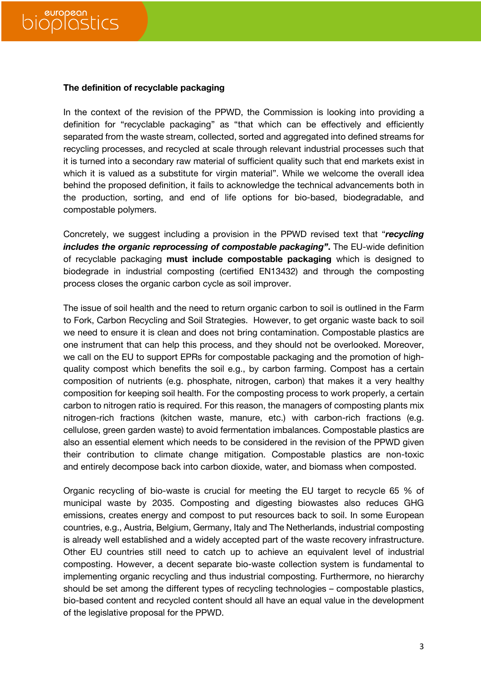### **The definition of recyclable packaging**

In the context of the revision of the PPWD, the Commission is looking into providing a definition for "recyclable packaging" as "that which can be effectively and efficiently separated from the waste stream, collected, sorted and aggregated into defined streams for recycling processes, and recycled at scale through relevant industrial processes such that it is turned into a secondary raw material of sufficient quality such that end markets exist in which it is valued as a substitute for virgin material". While we welcome the overall idea behind the proposed definition, it fails to acknowledge the technical advancements both in the production, sorting, and end of life options for bio-based, biodegradable, and compostable polymers.

Concretely, we suggest including a provision in the PPWD revised text that "*recycling includes the organic reprocessing of compostable packaging"***. The EU-wide definition** of recyclable packaging **must include compostable packaging** which is designed to biodegrade in industrial composting (certified EN13432) and through the composting process closes the organic carbon cycle as soil improver.

The issue of soil health and the need to return organic carbon to soil is outlined in the Farm to Fork, Carbon Recycling and Soil Strategies. However, to get organic waste back to soil we need to ensure it is clean and does not bring contamination. Compostable plastics are one instrument that can help this process, and they should not be overlooked. Moreover, we call on the EU to support EPRs for compostable packaging and the promotion of highquality compost which benefits the soil e.g., by carbon farming. Compost has a certain composition of nutrients (e.g. phosphate, nitrogen, carbon) that makes it a very healthy composition for keeping soil health. For the composting process to work properly, a certain carbon to nitrogen ratio is required. For this reason, the managers of composting plants mix nitrogen-rich fractions (kitchen waste, manure, etc.) with carbon-rich fractions (e.g. cellulose, green garden waste) to avoid fermentation imbalances. Compostable plastics are also an essential element which needs to be considered in the revision of the PPWD given their contribution to climate change mitigation. Compostable plastics are non-toxic and entirely decompose back into carbon dioxide, water, and biomass when composted.

Organic recycling of bio-waste is crucial for meeting the EU target to recycle 65 % of municipal waste by 2035. Composting and digesting biowastes also reduces GHG emissions, creates energy and compost to put resources back to soil. In some European countries, e.g., Austria, Belgium, Germany, Italy and The Netherlands, industrial composting is already well established and a widely accepted part of the waste recovery infrastructure. Other EU countries still need to catch up to achieve an equivalent level of industrial composting. However, a decent separate bio-waste collection system is fundamental to implementing organic recycling and thus industrial composting. Furthermore, no hierarchy should be set among the different types of recycling technologies – compostable plastics, bio-based content and recycled content should all have an equal value in the development of the legislative proposal for the PPWD.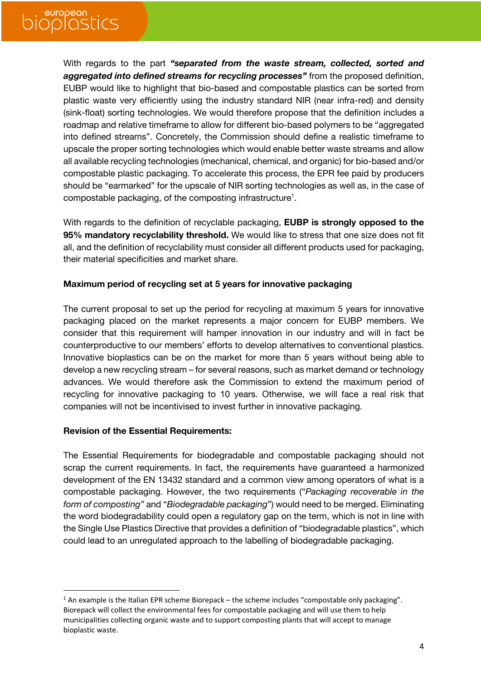# european<br>ODIOSLICS

With regards to the part *"separated from the waste stream, collected, sorted and aggregated into defined streams for recycling processes"* from the proposed definition, EUBP would like to highlight that bio-based and compostable plastics can be sorted from plastic waste very efficiently using the industry standard NIR (near infra-red) and density (sink-float) sorting technologies. We would therefore propose that the definition includes a roadmap and relative timeframe to allow for different bio-based polymers to be "aggregated into defined streams". Concretely, the Commission should define a realistic timeframe to upscale the proper sorting technologies which would enable better waste streams and allow all available recycling technologies (mechanical, chemical, and organic) for bio-based and/or compostable plastic packaging. To accelerate this process, the EPR fee paid by producers should be "earmarked" for the upscale of NIR sorting technologies as well as, in the case of compostable packaging, of the composting infrastructure<sup>1</sup>.

With regards to the definition of recyclable packaging, **EUBP is strongly opposed to the 95% mandatory recyclability threshold.** We would like to stress that one size does not fit all, and the definition of recyclability must consider all different products used for packaging, their material specificities and market share.

### **Maximum period of recycling set at 5 years for innovative packaging**

The current proposal to set up the period for recycling at maximum 5 years for innovative packaging placed on the market represents a major concern for EUBP members. We consider that this requirement will hamper innovation in our industry and will in fact be counterproductive to our members' efforts to develop alternatives to conventional plastics. Innovative bioplastics can be on the market for more than 5 years without being able to develop a new recycling stream – for several reasons, such as market demand or technology advances. We would therefore ask the Commission to extend the maximum period of recycling for innovative packaging to 10 years. Otherwise, we will face a real risk that companies will not be incentivised to invest further in innovative packaging.

# **Revision of the Essential Requirements:**

The Essential Requirements for biodegradable and compostable packaging should not scrap the current requirements. In fact, the requirements have guaranteed a harmonized development of the EN 13432 standard and a common view among operators of what is a compostable packaging. However, the two requirements ("*Packaging recoverable in the form of composting"* and "*Biodegradable packaging*") would need to be merged. Eliminating the word biodegradability could open a regulatory gap on the term, which is not in line with the Single Use Plastics Directive that provides a definition of "biodegradable plastics", which could lead to an unregulated approach to the labelling of biodegradable packaging.

 $1$  An example is the Italian EPR scheme Biorepack – the scheme includes "compostable only packaging". Biorepack will collect the environmental fees for compostable packaging and will use them to help municipalities collecting organic waste and to support composting plants that will accept to manage bioplastic waste.